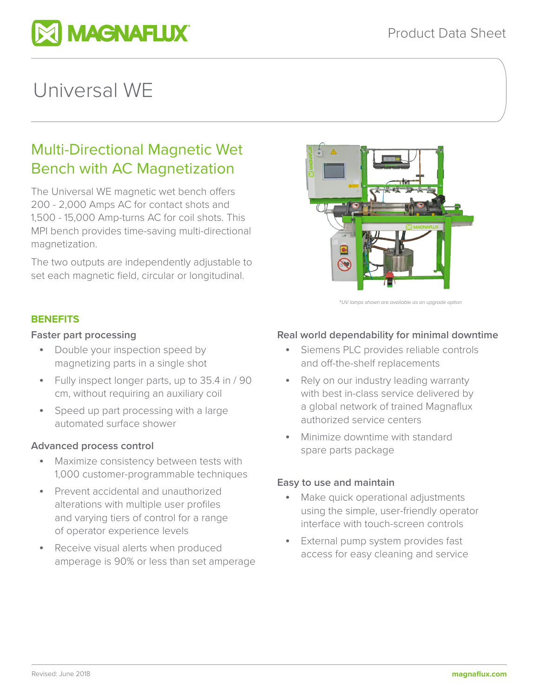

# Universal WE

# Multi-Directional Magnetic Wet Bench with AC Magnetization

The Universal WE magnetic wet bench offers 200 - 2,000 Amps AC for contact shots and 1,500 - 15,000 Amp-turns AC for coil shots. This MPI bench provides time-saving multi-directional magnetization.

The two outputs are independently adjustable to set each magnetic field, circular or longitudinal.



\**UV lamps shown are available as an upgrade option*

#### **BENEFITS**

#### **Faster part processing**

- Double your inspection speed by magnetizing parts in a single shot
- Fully inspect longer parts, up to 35.4 in / 90 cm, without requiring an auxiliary coil
- Speed up part processing with a large automated surface shower

# **Advanced process control**

- Maximize consistency between tests with 1,000 customer-programmable techniques
- Prevent accidental and unauthorized alterations with multiple user profiles and varying tiers of control for a range of operator experience levels
- Receive visual alerts when produced amperage is 90% or less than set amperage

#### **Real world dependability for minimal downtime**

- Siemens PLC provides reliable controls and off-the-shelf replacements
- Rely on our industry leading warranty with best in-class service delivered by a global network of trained Magnaflux authorized service centers
- Minimize downtime with standard spare parts package

#### **Easy to use and maintain**

- Make quick operational adjustments using the simple, user-friendly operator interface with touch-screen controls
- External pump system provides fast access for easy cleaning and service